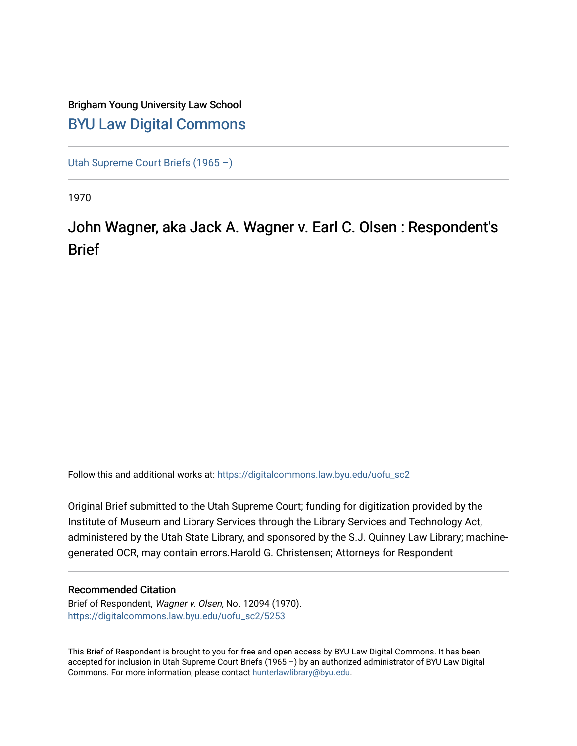### Brigham Young University Law School [BYU Law Digital Commons](https://digitalcommons.law.byu.edu/)

[Utah Supreme Court Briefs \(1965 –\)](https://digitalcommons.law.byu.edu/uofu_sc2)

1970

## John Wagner, aka Jack A. Wagner v. Earl C. Olsen : Respondent's **Brief**

Follow this and additional works at: [https://digitalcommons.law.byu.edu/uofu\\_sc2](https://digitalcommons.law.byu.edu/uofu_sc2?utm_source=digitalcommons.law.byu.edu%2Fuofu_sc2%2F5253&utm_medium=PDF&utm_campaign=PDFCoverPages)

Original Brief submitted to the Utah Supreme Court; funding for digitization provided by the Institute of Museum and Library Services through the Library Services and Technology Act, administered by the Utah State Library, and sponsored by the S.J. Quinney Law Library; machinegenerated OCR, may contain errors.Harold G. Christensen; Attorneys for Respondent

#### Recommended Citation

Brief of Respondent, Wagner v. Olsen, No. 12094 (1970). [https://digitalcommons.law.byu.edu/uofu\\_sc2/5253](https://digitalcommons.law.byu.edu/uofu_sc2/5253?utm_source=digitalcommons.law.byu.edu%2Fuofu_sc2%2F5253&utm_medium=PDF&utm_campaign=PDFCoverPages) 

This Brief of Respondent is brought to you for free and open access by BYU Law Digital Commons. It has been accepted for inclusion in Utah Supreme Court Briefs (1965 –) by an authorized administrator of BYU Law Digital Commons. For more information, please contact [hunterlawlibrary@byu.edu](mailto:hunterlawlibrary@byu.edu).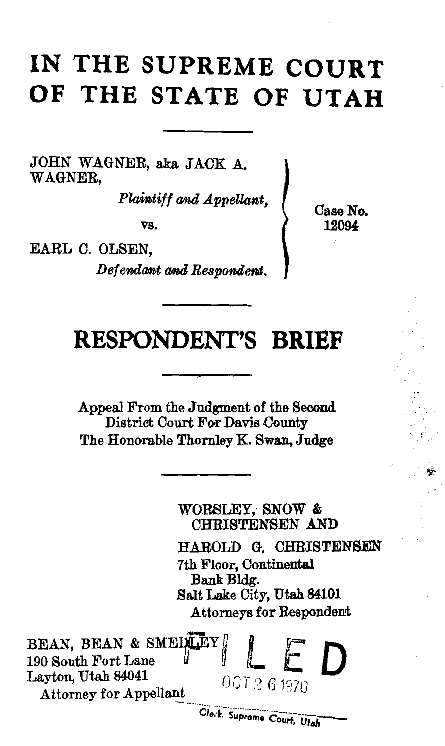# **IN THE SUPREME COURT OF THE STATE OF UTAH**

JOHN WAGNER, aka JACK A. WAGNER,

*Plaintiff and Appellant,* 

vs.

EARL C. OLSEN,

*Defendant and Respondent.* 

Case No. 12094

## **RESPO,NDENT'S BRIEF**

Appeal From the Judgment of the Second District Court For Davis County The Honorable Thornley K. Swan, Judge

WORSLEY, SNOW & CHRISTENSEN AND HAROLD G. CHRISTENSEN 7th Floor, Continental Bank Bldg. Salt Lake City, Utah 84101 Attorneys for Respondent BEAN, BEAN & SMEDILEY 190 South Fort Lane **Layton, Utah 84041** *OCT 2 6 1970* Attorney for Appellant<br>Clerk, Supreme Court, Utah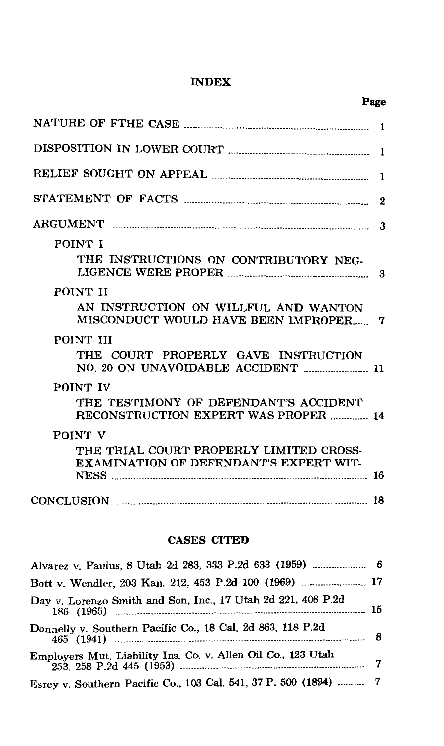#### INDEX

| POINT I                                                                           |  |
|-----------------------------------------------------------------------------------|--|
| THE INSTRUCTIONS ON CONTRIBUTORY NEG-                                             |  |
| POINT II                                                                          |  |
| AN INSTRUCTION ON WILLFUL AND WANTON<br>MISCONDUCT WOULD HAVE BEEN IMPROPER 7     |  |
| POINT III                                                                         |  |
| THE COURT PROPERLY GAVE INSTRUCTION                                               |  |
| POINT IV                                                                          |  |
| THE TESTIMONY OF DEFENDANT'S ACCIDENT<br>RECONSTRUCTION EXPERT WAS PROPER  14     |  |
| POINT V                                                                           |  |
| THE TRIAL COURT PROPERLY LIMITED CROSS-<br>EXAMINATION OF DEFENDANT'S EXPERT WIT- |  |
|                                                                                   |  |
|                                                                                   |  |

#### CASES CITED

| Bott v. Wendler, 203 Kan. 212, 453 P.2d 100 (1969)  17           |  |
|------------------------------------------------------------------|--|
| Day v. Lorenzo Smith and Son, Inc., 17 Utah 2d 221, 408 P.2d     |  |
| Donnelly v. Southern Pacific Co., 18 Cal. 2d 863, 118 P.2d       |  |
| Employers Mut. Liability Ins. Co. v. Allen Oil Co., 123 Utah     |  |
| Esrey v. Southern Pacific Co., 103 Cal. 541, 37 P. 500 (1894)  7 |  |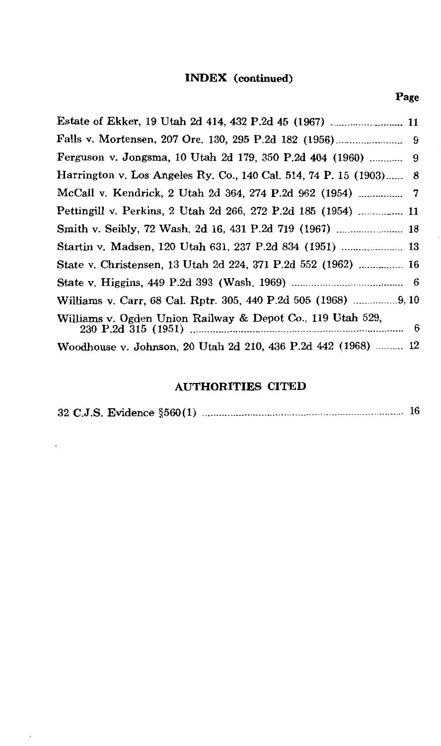#### INDEX (continued)

| ___<br>۰ |
|----------|
|----------|

| Estate of Ekker, 19 Utah 2d 414, 432 P.2d 45 (1967)  11            |  |
|--------------------------------------------------------------------|--|
|                                                                    |  |
|                                                                    |  |
| Harrington v. Los Angeles Ry. Co., 140 Cal. 514, 74 P. 15 (1903) 8 |  |
| McCall v. Kendrick, 2 Utah 2d 364, 274 P.2d 962 (1954)  7          |  |
| Pettingill v. Perkins, 2 Utah 2d 266, 272 P.2d 185 (1954)  11      |  |
| Smith v. Seibly, 72 Wash. 2d 16, 431 P.2d 719 (1967)  18           |  |
| Startin v. Madsen, 120 Utah 631, 237 P.2d 834 (1951)  13           |  |
| State v. Christensen, 13 Utah 2d 224, 371 P.2d 552 (1962)  16      |  |
|                                                                    |  |
| Williams v. Carr, 68 Cal. Rptr. 305, 440 P.2d 505 (1968) 9, 10     |  |
| Williams v. Ogden Union Railway & Depot Co., 119 Utah 529,         |  |
| Woodhouse v. Johnson, 20 Utah 2d 210, 436 P.2d 442 (1968)  12      |  |

#### AUTHORITIES CITED

|--|--|--|--|--|--|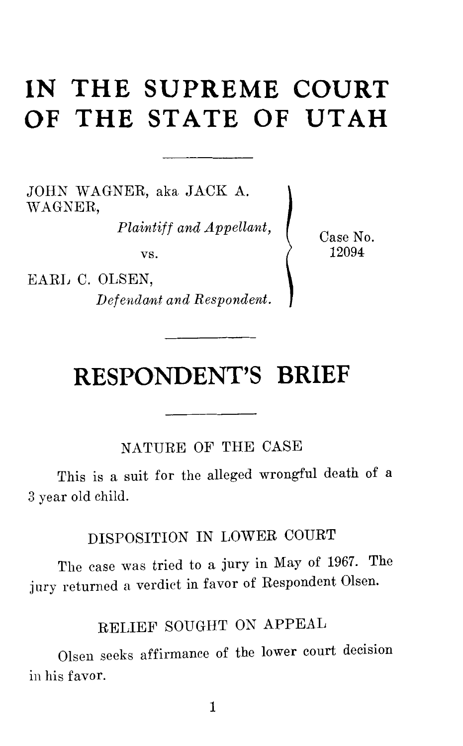## **IN THE SUPREME COURT OF THE STATE OF UTAH**

JOHN WAGNER, aka. JACK A. \VAGNER,

*Plaintiff and Appellant,* 

vs.

EARL C. OLSEN, *Def end ant and Respondent.*  Case No. 12094

## **RESPONDENT'S BRIEF**

NATURE OF THE CASE

This is a suit for the alleged wrongful death of a 3 year old child.

DISPOSITION IN LOWER COURT

The case was tried to a jury in May of 1967. The jury returned a verdict in favor of Respondent Olsen.

### RELIEF SOUGHT ON APPEAL

Olsen seeks affirmance of the lower court decision in his favor.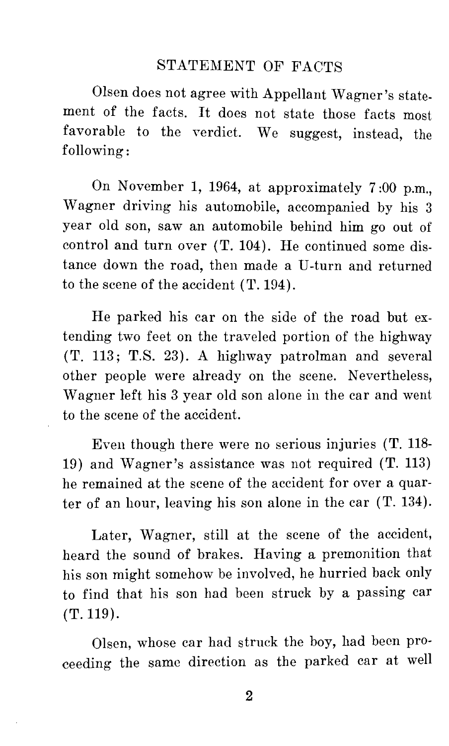#### STATEMENT OF FACTS

Olsen does not agree with Appellant Wagner's statement of the facts. It does not state those facts most favorable to the verdict. We suggest, instead, the following:

On November 1, 1964, at approximately 7 :00 p.m., Wagner driving his automobile, accompanied by his 3 year old son, saw an automobile behind him go out of control and turn over (T. 104). He continued some distance down the road, then made a U-turn and returned to the scene of the accident  $(T. 194)$ .

He parked his car on the side of the road but extending two feet on the traveled portion of the highway (T. 113; T.S. 23). A highway patrolman and several other people were already on the scene. Nevertheless, Wagner left his 3 year old son alone in the car and went to the scene of the accident.

Even though there were no serious injuries (T. 118- 19) and Wagner's assistance was not required (T. 113) he remained at the scene of the accident for over a quarter of an hour, leaving his son alone in the car (T. 134).

Later, Wagner, still at the scene of the accident, heard the sound of brakes. Having a premonition that his son might somehow be involved, he hurried back only to find that his son had been struck by a passing car (T. 119).

Olsen, whose car had struck the boy, had been proceeding the same direction as the parked car at well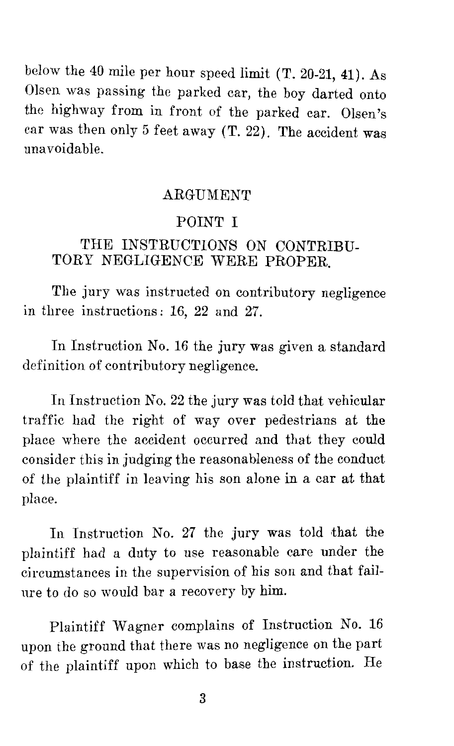below the 40 mile per hour speed limit (T. 20-21, 41). As Olsen was passing the parked car, the boy darted onto the highway from in front of the parked car. Olsen's car was then only 5 feet away (T. 22). The accident was unavoidable.

#### ARGUMENT

#### POINT I

#### THE INSTRUCTIONS ON CONTRIBU-TORY NEGLIGENCE WERE PROPER.

The jury was instructed on contributory negligence in three instructions : 16, 22 and 27.

In Instruction No. 16 the jury was given a standard definition of contributory negligence.

In Instruction No. 22 the jury was told that vehicular traffic had the right of way over pedestrians at the place where the accident occurred and that they could consider this in judging the reasonableness of the conduct of the plaintiff in leaving his son alone in a car at that place.

In Instruction No. 27 the jury was told that the plaintiff had a duty to use reasonable care under the circumstances in the supervision of his son and that failure to do so would bar a recovery by him.

Plaintiff Wagner complains of Instruction No. 16 upon the ground that there was no negligence on the part of the plaintiff upon which to base the instruction. He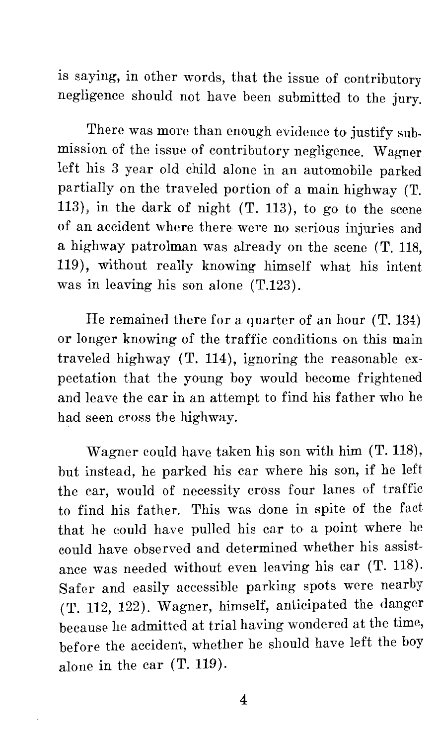is saying, in other words, that the issue of contributory negligence should not have been submitted to the jury.

There was more than enough evidence to justify submission of the issue of contributory negligence. Wagner left his 3 year old child alone in an automobile parked partially on the traveled portion of a main highway (T. 113), in the dark of night  $(T. 113)$ , to go to the scene of an accident where there were no serious injuries and a highway patrolman was already on the scene (T. 118, 119), without really knowing himself what his intent was in leaving his son alone (T.123).

He remained there for a quarter of an hour (T. 134) or longer knowing of the traffic conditions on this main traveled highway (T. 114), ignoring the reasonable expectation that the young boy would become frightened and leave the car in an attempt to find his father who he had seen cross the highway.

Wagner could have taken his son with him (T. 118), but instead, he parked his car where his son, if he left the car, would of necessity cross four lanes of traffic to find his father. This was done in spite of the fact that he could have pulled his car to a point where he could have observed and determined whether his assistance was needed without even leaving his car (T. 118). Safer and easily accessible parking spots were nearby (T. 112, 122). Wagner, himself, anticipated the danger because he admitted at trial having wondered at the time, before the accident, whether he should have left the boy alone in the car (T. 119).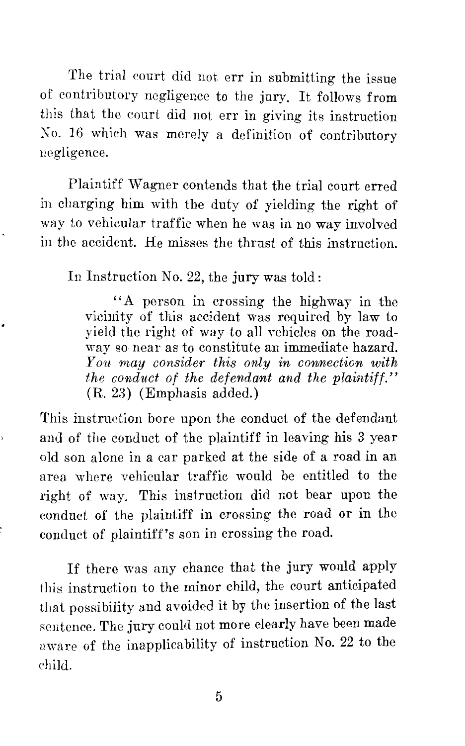The trial eourt did not err in submitting the issue of contributory negligence to the jury. It follows from this that the court did not err in giving its instruction No. 16 which was merely a definition of contributory negligence.

Plaintiff Wagner contends that the trial court erred in charging him with the duty of yielding the right of way to vehicular traffic when he was in no way involved in the accident. He misses the thrust of this instruction.

In Instruction No. 22, the jury was told:

''A person in crossing the highway in the vicinity of this accident was required by law to yield the right of way to all vehicles on the roadway so near as to constitute an immediate hazard. *You. may consider this only in coninection with the conduct of the def end amt and the plaintiff."*  (R. 23) (Emphasis added.)

This instruction bore upon the conduct of the defendant and of the conduct of the plaintiff in leaving his 3 year old son alone in a car parked at the side of a road in an area where vehicular traffic would be entitled to the right of way. This instruction did not bear upon the eonduct of the plaintiff in crossing the road or in the conduct of plaintiff's son in crossing the road.

If there was any chance that the jury would apply this instruction to the minor child, the court anticipated that possibility and avoided it by the insertion of the last sentence. The jury could not more clearly have been made aware of the inapplicability of instruction No. 22 to the ehild.

5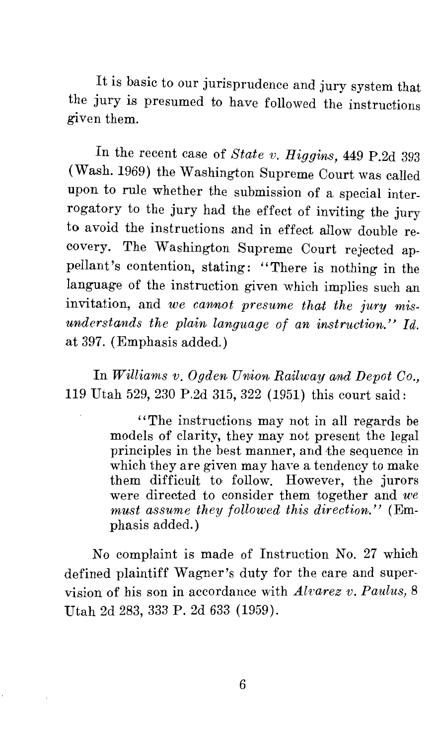It is basic to our jurisprudence and jury system that the jury is presumed to have followed the instructions given them.

In the recent case of *State v. Higgins,* 449 P.2d 393 (Wash. 1969) the Washington Supreme Court was called upon to rule whether the submission of a special interrogatory to the jury had the effect of inviting the jury to avoid the instructions and in effect allow double recovery. The Washington Supreme Court rejected appellant's contention, stating: ''There is nothing in the language of the instruction given which implies such an invitation, and *we cannot presume that the jury misunderstands the plain language of an instruction." Id.*  at 397. (Emphasis added.)

In *Williams v. Ogden Union Railway and Depot Co.,*  119 Utah 529, 230 P.2d 315, 322 (1951) this court said:

> ''The instructions may not in all regards be models of clarity, they may not present the legal principles in the best manner, and the sequence in which they are given may have a tendency to make them difficult to follow. However, the jurors were directed to consider them together and *we must assume they followed this direction."* (Emphasis added.)

No complaint is made of Instruction No. 27 which defined plaintiff Wagner's duty for the care and supervision of his son in accordance with *Alvarez v. Paulus,* 8 Utah 2d 283, 333 P. 2d 633 (1959).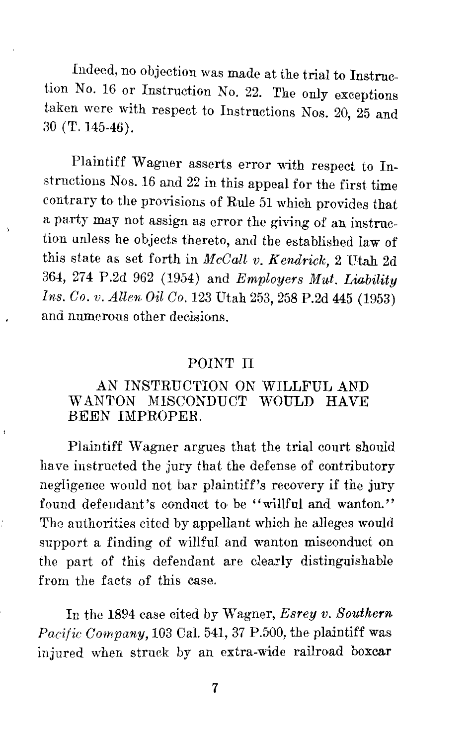Indeed, no objection was made at the trial to Instruction No. 16 or Instruction No. 22. The only exceptions taken were with respect to Instructions Nos. 20, 25 and 30 (T. 145-46).

Plaintiff Wagner asserts error with respect to Instructions Nos. 16 and 22 in this appeal for the first time contrary to the provisions of Rule 51 which provides that a party may not assign as error the giving of an instruction unless he objects thereto, and the established law of this state as set forth in *McCall v. Kendrick,* 2 Utah 2d 364, 274 P.2d 962 (1954) and *Employers Mut. Liability Ins. Co. v. Allen Oil Co.* 123 Utah 253, 258 P.2d 445 (1953) and numerous other decisions.

#### POINT II

#### AN INSTRUCTION *ON* WILLFUL AND WANTON MISCONDUCT WOULD HAVE BEEN IMPROPER.

Plaintiff Wagner argues that the trial court should have instructed the jury that the defense of contributory negligence would not bar plaintiff's recovery if the jury found defendant's conduct to be "willful and wanton." The authorities cited by appellant which he alleges would support a finding of willful and wanton misconduct on the part of this defendant are clearly distinguishable from the facts of this case.

In the 1894 case cited by Wagner, *Esrey v. Southern Pacific Company,* 103 Cal. 541, 37 P.500, the plaintiff was injured when struck by an extra-wide railroad boxcar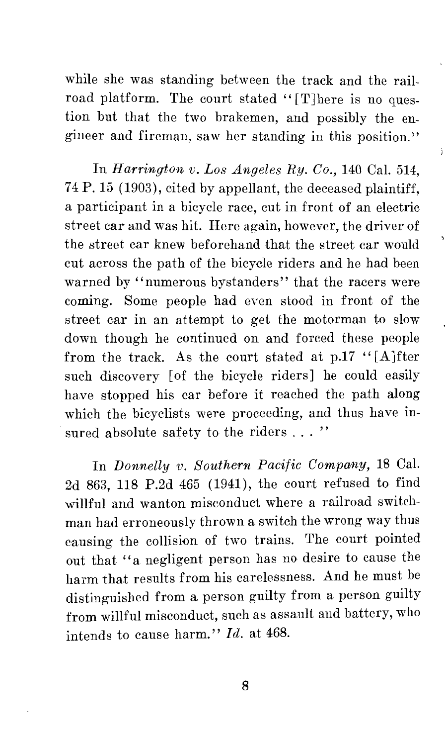while she was standing between the track and the railroad platform. The court stated "[T]here is no question but that the two brakemen, and possibly the engineer and fireman, saw her standing in this position."

 $\frac{1}{2}$ 

In *Harrington. v. Los Angeles Ry. Co.,* 140 Cal. 514, 74 P. 15 (1903), cited by appellant, the deceased plaintiff, a participant in a bicycle race, cut in front of an electric street car and was hit. Here again, however, the driver of the street car knew beforehand that the street car would cut across the path of the bicycle riders and he had been warned by "numerous bystanders" that the racers were coming. Some people had even stood in front of the street car in an attempt to get the motorman to slow down though he continued on and forced these people from the track. As the court stated at  $p.17$  "[A]fter such discovery [of the bicycle riders] he could easily have stopped his car before it reached the path along which the bicyclists were proceeding, and thus have in sured absolute safety to the riders . . . "

In *Donnelly v. Southern Pacific Company,* 18 Cal. 2d 863, 118 P.2d 465 (1941), the court refused to find willful and wanton misconduct where a railroad switchman had erroneously thrown a switch the wrong way thus causing the collision of two trains. The court pointed out that "a negligent person has no desire to cause the harm that results from his carelessness. And he must be distinguished from a person guilty from a person guilty from willful misconduct, such as assault and battery, who intends to cause harm." *Id.* at 468.

8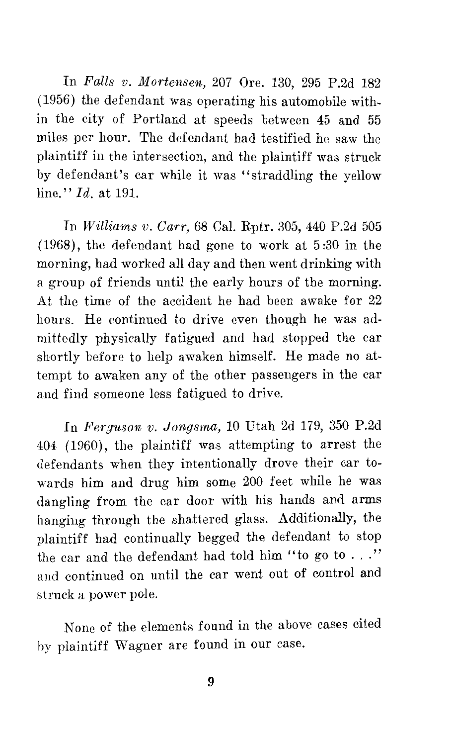In *Falls v. Mortensen,* 207 Ore. 130, 295 P.2d 182 (1956) the defendant was operating his automobile within the city of Portland at speeds between 45 and 55 miles per hour. The defendant had testified he saw the plaintiff in the intersection, and the plaintiff was struck by defendant's car while it was "straddling the yellow line." *Id.* at 191.

In *Williams v. Carr,* 68 Cal. Rptr. 305, 440 P.2d 505 (1968), the defendant had gone to work at 5 :30 in the morning, had worked all day and then went drinking with a group of friends until the early hours of the morning. At the time of the accident he had been awake for 22 hours. He continued to drive even though he was admittedly physically fatigued and had stopped the car shortly before to help awaken himself. He made no attempt to awaken any of the other passengers in the car and find someone less fatigued to drive.

In *Ferguson v. Jon,gsma,* 10 Utah 2d 179, 350 P.2d 404 (1960), the plaintiff was attempting to arrest the defendants when they intentionally drove their car towards him and drug him some 200 feet while he was dangling from the car door with his hands and arms hanging through the shattered glass. Additionally, the plaintiff had continually begged the defendant to stop the car and the defendant had told him "to go to  $\ldots$  ." and continued on until the car went out of control and struck a power pole.

None of the elements found in the above cases cited hy plaintiff Wagner are found in our case.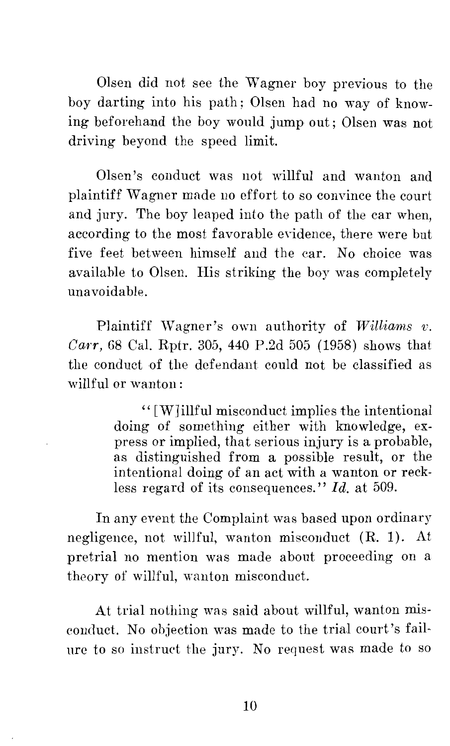Olsen did not see the Wagner boy previous to the boy darting into his path; Olsen had no way of knowing beforehand the boy would jump out; Olsen was not driving beyond the speed limit.

Olsen's conduct was not willful and wanton and plaintiff Wagner made no effort to so convince the court and jury. The boy leaped into the path of the car when, according to the most favorable evidence, there were but five feet between himself and the car. No choice was available to Olsen. His striking the boy was completely unavoidable.

Plaintiff Wagner's own authority of *Williams v. Carr,* GS Cal. Rptr. 305, 440 P.2d 505 (1958) shows that the conduct of the defendant could not be classified as willful or wanton:

> '' [W] illful misconduct implies the intentional doing of something either with knowledge, express or implied, that serious injury is a probable, as distinguished from a possible result, or the intentional doing of an act with a wanton or reckless regard of its consequences." *Id.* at 509.

In any event the Complaint was based upon ordinary negligence, not willful, wanton misconduct (R. 1). At pretrial no mention was made about proceeding on a theory of willful, wanton misconduct.

At trial nothing was said about willful, wanton misconduct. No objection was made to the trial court's failure to so instruct the jury. No request was made to so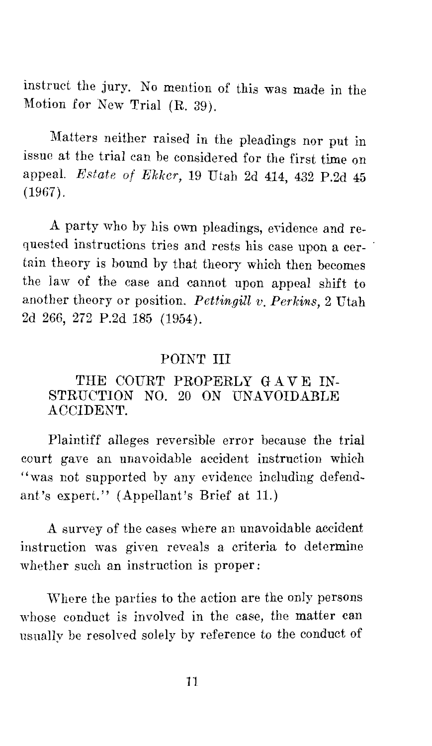instruct the jury. No mention of this was made in the Motion for New Trial (R. 39).

Matters neither raised in the pleadings nor put in issue at the trial can be considered for the first time on appeal. *Estate of Ekker,* 19 Utah 2d 414, 432 P.2d 45 (1967).

A party who by his own pleadings, evidence and requested instructions tries and rests his case upon a certain theory is bound by that theory which then becomes the law of the case and cannot upon appeal shift to another theory or position. *Pettingill v. Perkins,* 2 Utah 2d 266, 272 P.2d 185 (1954).

#### POINT III

#### THE COURT PROPERLY GAVE IN-STRUCTION NO. 20 ON UNAVOIDABLE ACCIDENT.

Plaintiff alleges reversible error because the trial court gave an unavoidable accident instruction which "was not supported by any evidence including defendant's expert." (Appellant's Brief at 11.)

A survey of the cases where an unavoidable accident instruction was given reveals a criteria to determine whether such an instruction is proper:

Where the parties to the action are the only persons whose conduct is involved in the case, the matter can usually be resolved solely by reference to the conduct of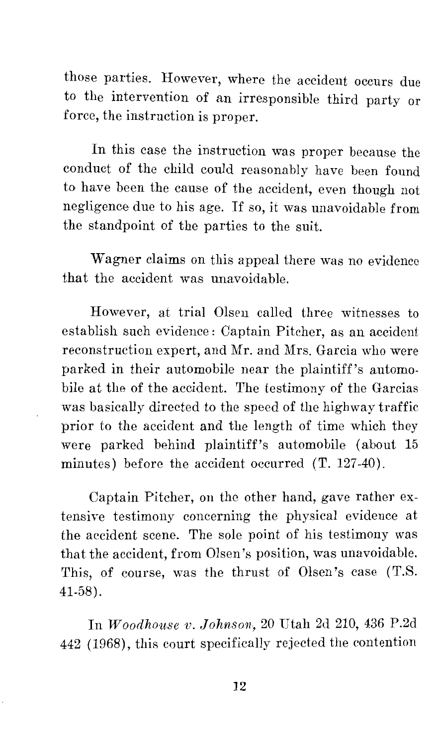those parties. However, where the accident occurs due to the intervention of an irresponsible third party or force, the instruction is proper.

In this case the instruction was proper because the conduct of the child could reasonably have been found to have been the cause of the accident, even though not negligence due to his age. If so, it was unavoidable from the standpoint of the parties to the suit.

Wagner claims on this appeal there was no evidence that the accident was unavoidable.

However, at trial Olsen called three witnesses to establish such evidence: Captain Pitcher, as an accident reconstruction expert, and Mr. and Mrs. Garcia who were parked in their automobile near the plaintiff's automobile at the of the accident. The testimony of the Garcias was basically directed to the speed of the highway traffic prior to the accident and the length of time which they were parked behind plaintiff's automobile (about 15 minutes) before the accident occurred (T. 127-40).

Captain Pitcher, on the other hand, gave rather extensive testimony concerning the physical evidence at the accident scene. The sole point of his testimony was that the accident, from Olsen's position, was unavoidable. This, of course, was the thrust of Olsen's case (T.S. 41-58).

In *Woodhouse v. Johnson,* 20 Utah 2d 210, 436 P.2d 442 (1968), this court specifically rejected the contention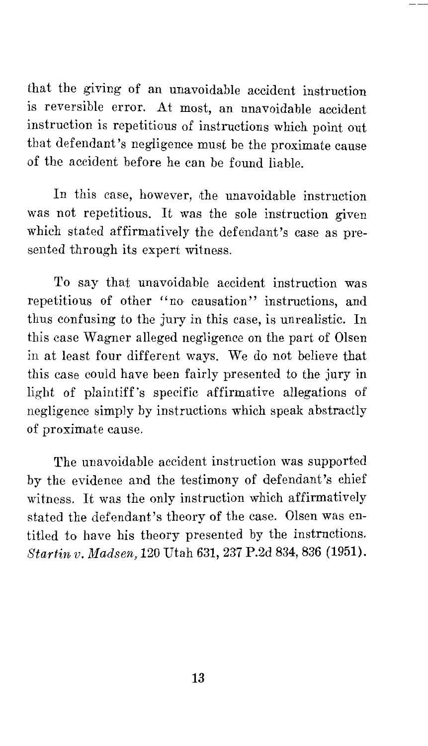that the giving of an unavoidable accident instruction is reversible error. At most, an unavoidable accident instruction is repetitious of instructions which point out that defendant's negligence must be the proximate cause of the accident before he can be found liable.

In this case, however, ithe unavoidable instruction was not repetitious. It was the sole instruction given which stated affirmatively the defendant's case as presented through its expert witness.

To say that unavoidable accident instruction was repetitious of other "no causation" instructions, and thus confusing to the jury in this case, is unrealistic. In this case Wagner alleged negligence on the part of Olsen in at least four different ways. We do not believe that this case could have been fairly presented to the jury in light of plaintiff's specific affirmative allegations of negligence simply by instructions which speak abstractly of proximate cause.

The unavoidable accident instruction was supported by the evidence and the testimony of defendant's chief witness. It was the only instruction which affirmatively stated the defendant's theory of the case. Olsen was entitled to have his theory presented by the instructions. *Startin v. Madsen,* 120 Utah 631, 237 P.2d 834, 836 (1951).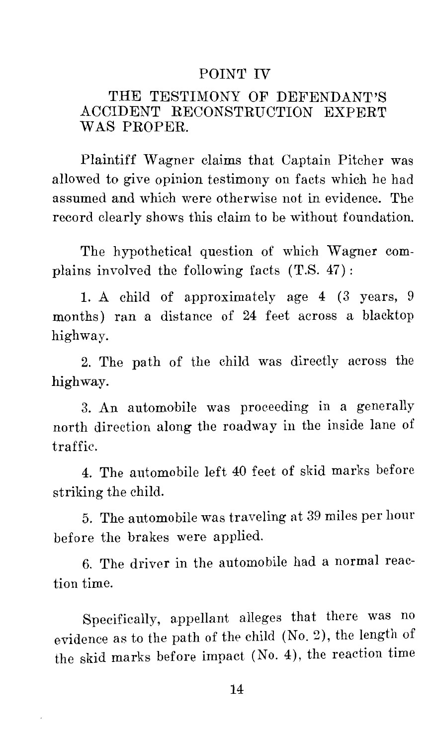#### POINT IV

#### THE TESTIMONY OF DEFENDANT'S ACCIDENT RECONSTRUCTION EXPERT WAS PROPER.

Plaintiff Wagner claims that Captain Pitcher was allowed to give opinion testimony on facts which he had assumed and which were otherwise not in evidence. The record clearly shows this claim to be without foundation.

The hypothetical question of which Wagner complains involved the following facts (T.S. 47):

1. A child of approximately age 4 (3 years, 9 months) ran a distance of 24 feet across a blacktop highway.

2. The path of the child was directly across the highway.

3. An automobile was proceeding in a generally north direction along the roadway in the inside lane of traffic.

4. The automobile left 40 feet of skid marks before striking the child.

5. The automobile was traveling at 39 miles per hour before the brakes were applied.

6. The driver in the automobile had a normal reaction time.

Specifically, appellant alleges that there was no evidence as to the path of the child (No. 2), the length of the skid marks before impact (No. 4), the reaction time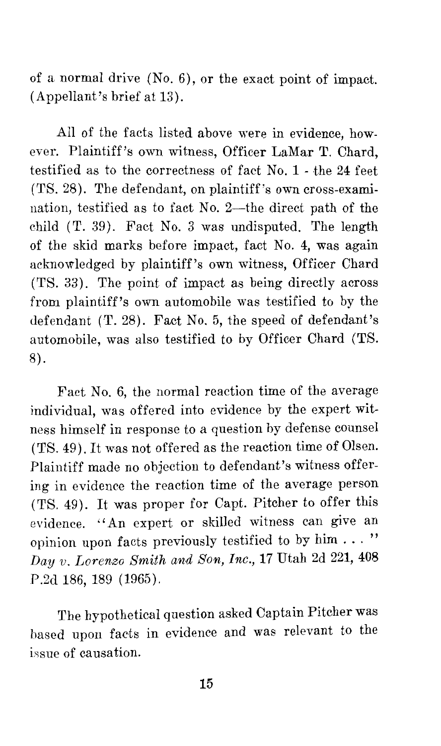of a normal drive (No. 6), or the exact point of impact. (Appellant's brief at 13).

All of the facts listed above were in evidence, however. Plaintiff's own witness, Officer LaMar T. Chard, testified as to the correctness of fact No. 1 - the 24 feet (TS. 28). The defendant, on plaintiff's own cross-examination, testified as to fact No. 2-the direct path of the child (T. 39). Fact No. 3 was undisputed. The length of the skid marks before impact, fact No. 4, was again acknowledged by plaintiff's own witness, Officer Chard (TS. 33). The point of impact as being directly across from plaintiff's own automobile was testified to by the defendant (T. 28). Fact No. 5, the speed of defendant's automobile, was also testified to by Officer Chard (TS. 8).

Fact No. 6, the normal reaction time of the average individual, was offered into evidence by the expert witness himself in response to a question by defense counsel (TS. 49). It was not offered as the reaction time of Olsen. Plaintiff made no objection to defendant's witness offering in evidence the reaction time of the average person (TS. 49). It was proper for Capt. Pitcher to offer this evidence. ''An expert or skilled witness can give an opinion upon facts previously testified to by him  $\dots$ " *Day v. Lorenzo Smith and Son, Inc.*, 17 Utah 2d 221, 408 P.2d 186, 189 (1965).

The hypothetical question asked Captain Pitcher was based upon facts in evidence and was relevant to the issue of causation.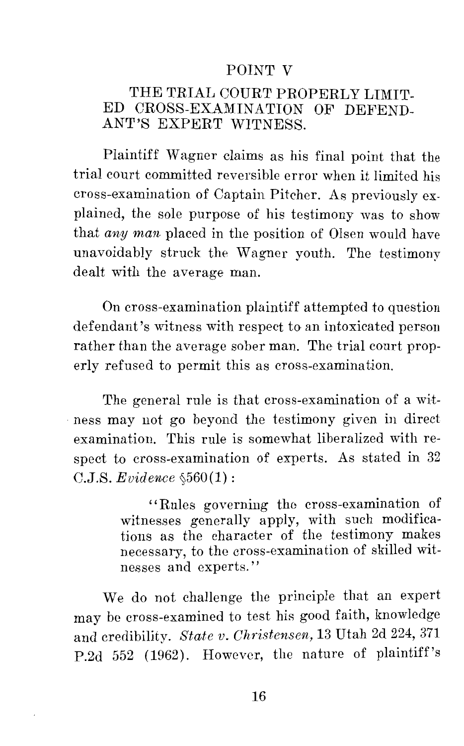#### POINT V

#### THE TRIAL COURT PROPERLY LIMIT-ED CROSS-EXAMINATION OF DEFEND-ANT'S EXPERT WITNESS.

Plaintiff Wagner claims as his final point that the trial court committed reversible error when it limited his cross-examination of Captain Pitcher. As previously explained, the sole purpose of his testimony was to show that *any man* placed in the position of Olsen would have unavoidably struck the Wagner youth. The testimony dealt with the average man.

On cross-examination plaintiff attempted to question defendant's witness with respect to an intoxicated person rather than the average sober man. The trial court properly refused to permit this as cross-examination.

The general rule is that cross-examination of a wit- . ness may not go beyond the testimony given in direct examination. This rule is somewhat liberalized with respect to cross-examination of experts. As stated in 32  $C.J.S.$  *Evidence*  $\delta 560(1)$ :

> "Rules governing the cross-examination of witnesses generally apply, with such modifications as the character of the testimony makes necessary, to the cross-examination of skilled witnesses and experts.''

We do not challenge the principle that an expert may be cross-examined to test his good faith, knowledge and credibility. *State v. Christensen,* 13 Utah 2d 224, 371 P.2d 552 (1962). However, the nature of plaintiff's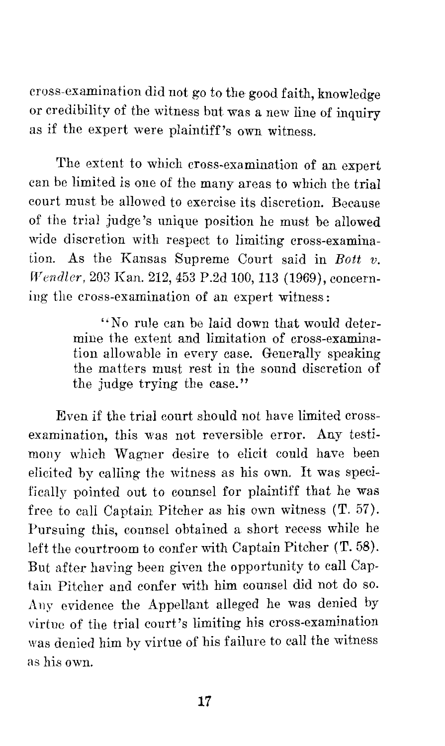cross-examination did not go to the good faith, knowledge or credibility of the witness but was a new line of inquiry as if the expert were plaintiff's own witness.

The extent to which cross-examination of an expert can be limited is one of the many areas to which the trial court must be allowed to exercise its discretion. Because of the trial judge's unique position he must be allowed wide discretion with respect to limiting cross-examination. As the Kansas Supreme Court said in *Bott v. Wendler,* 203 Kan. 212, 453 P.2d 100, 113 (1969), concerning the cross-examination of an expert witness:

> ''No rule can be laid down that would determine the extent and limitation of cross-examination allowable in every case. Generally speaking the matters must rest in the sound discretion of the judge trying the case.''

Even if the trial court should not have limited crossexamination, this was not reversible error. Any testimony which Wagner desire to elicit could have been elicited by calling the witness as his own. It was specifically pointed out to counsel for plaintiff that he was free to call Captain Pitcher as his own witness (T. 57). Pursuing this, counsel obtained a short recess while he left the courtroom to confer with Captain Pitcher (T. 58). But after having been given the opportunity to call Captain Pitcher and confer with him counsel did not do so. Any evidence the Appellant alleged he was denied by virtue of the trial court's limiting his cross-examination was denied him by virtue of his failure to call the witness as his own.